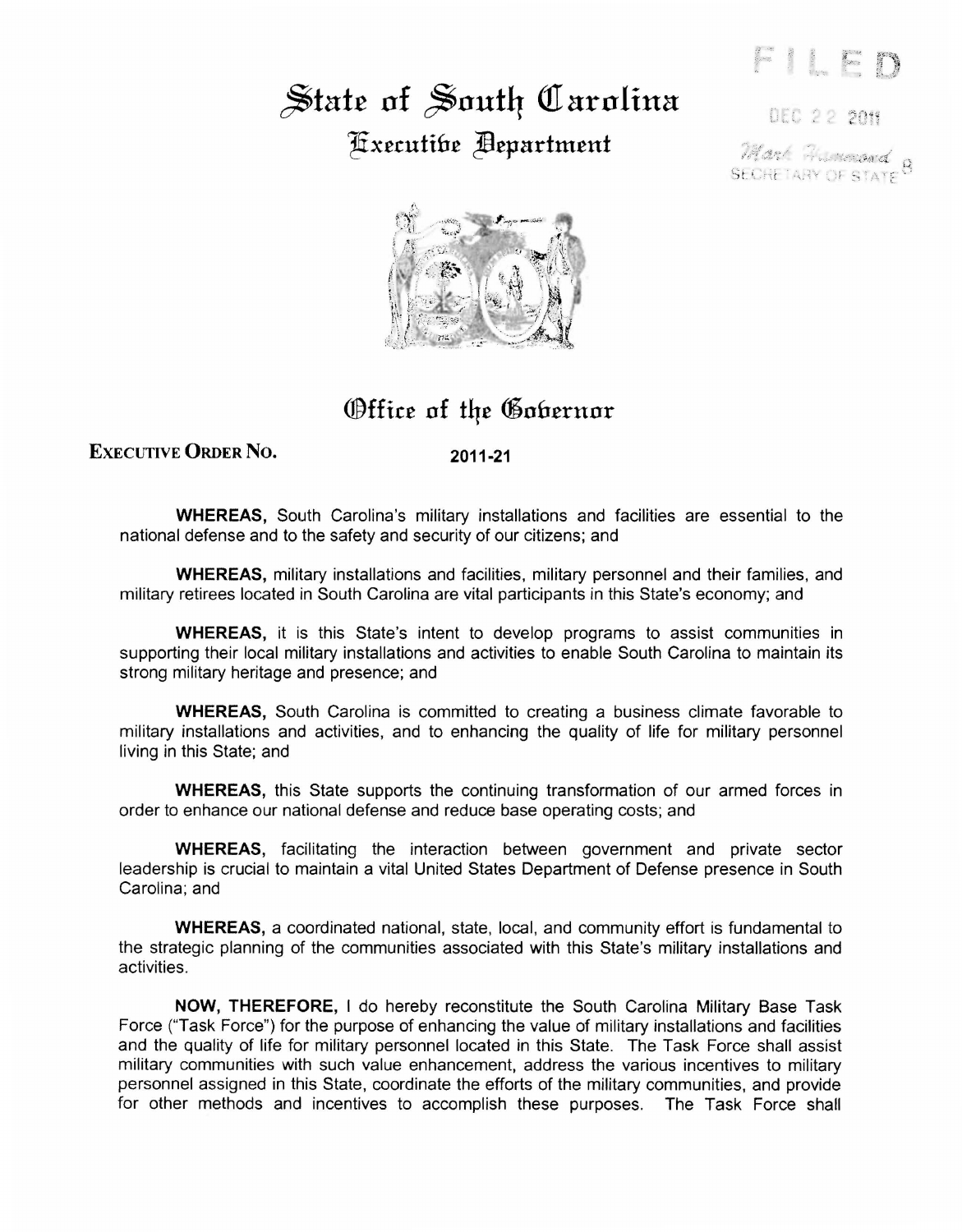## $\frac{1}{2}$  State of South *Carolina* Executibe **Pepartment**

**DEC 22 2019** 

Marc Foundand 8 **SECHETARY OF STATE** 



## Office of the Gobernor

EXECUTIVE **ORDER** No. **2011-21** 

**WHEREAS,** South Carolina's military installations and facilities are essential to the national defense and to the safety and security of our citizens; and

**WHEREAS,** military installations and facilities, military personnel and their families, and military retirees located in South Carolina are vital participants in this State's economy; and

**WHEREAS,** it is this State's intent to develop programs to assist communities in supporting their local military installations and activities to enable South Carolina to maintain its strong military heritage and presence; and

**WHEREAS,** South Carolina is committed to creating a business climate favorable to military installations and activities, and to enhancing the quality of life for military personnel living in this State; and

**WHEREAS,** this State supports the continuing transformation of our armed forces in order to enhance our national defense and reduce base operating costs; and

**WHEREAS,** facilitating the interaction between government and private sector leadership is crucial to maintain a vital United States Department of Defense presence in South Carolina; and

**WHEREAS,** a coordinated national, state, local, and community effort is fundamental to the strategic planning of the communities associated with this State's military installations and activities.

**NOW, THEREFORE,** I do hereby reconstitute the South Carolina Military Base Task Force ("Task Force") for the purpose of enhancing the value of military installations and facilities and the quality of life for military personnel located in this State. The Task Force shall assist military communities with such value enhancement, address the various incentives to military personnel assigned in this State, coordinate the efforts of the military communities, and provide for other methods and incentives to accomplish these purposes. The Task Force shall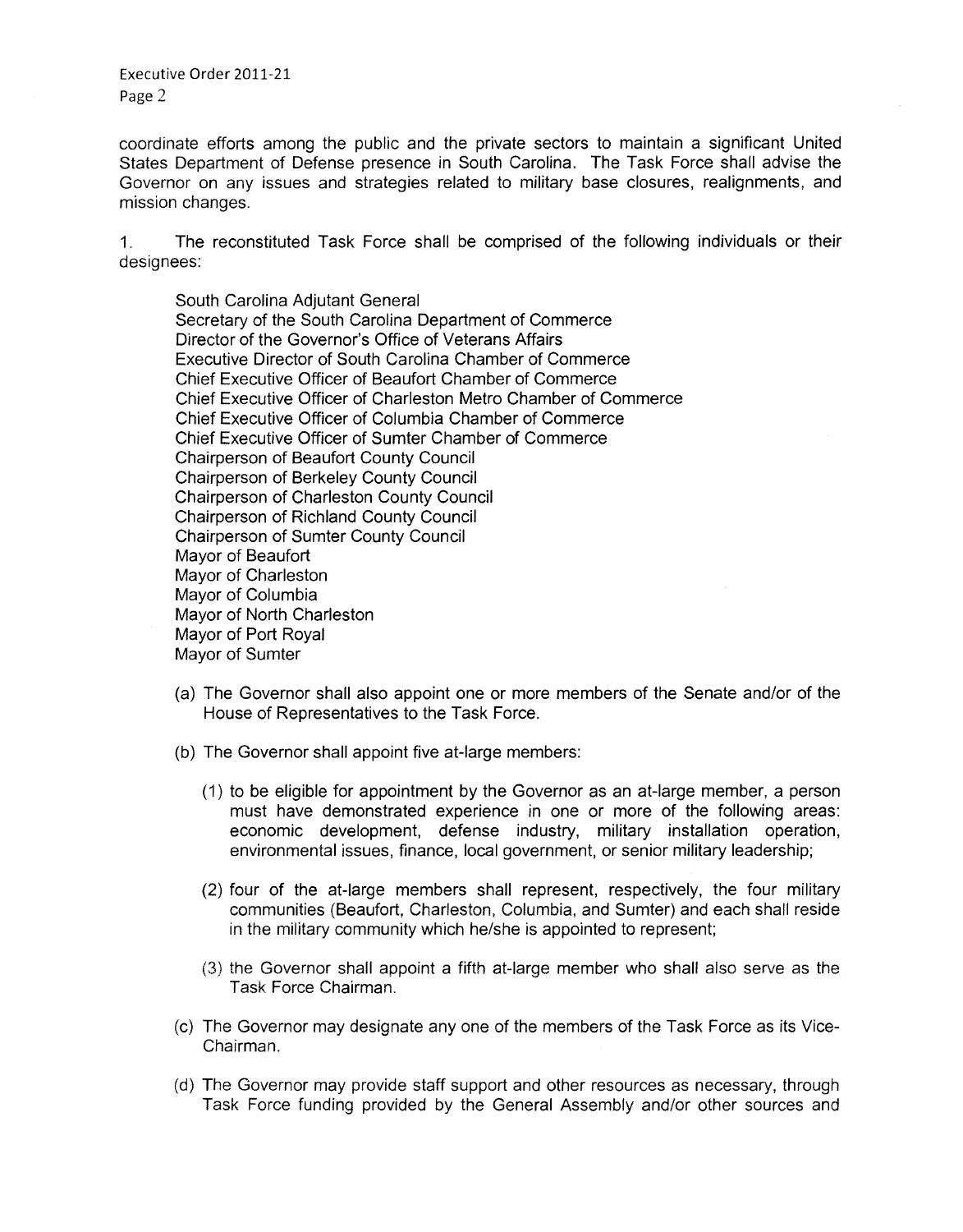Executive Order 2011-21 Page 2

coordinate efforts among the public and the private sectors to maintain a significant United States Department of Defense presence in South Carolina. The Task Force shall advise the Governor on any issues and strategies related to military base closures, realignments, and mission changes.

1. The reconstituted Task Force shall be comprised of the following individuals or their designees:

South Carolina Adjutant General Secretary of the South Carolina Department of Commerce Director of the Governor's Office of Veterans Affairs Executive Director of South Carolina Chamber of Commerce Chief Executive Officer of Beaufort Chamber of Commerce Chief Executive Officer of Charleston Metro Chamber of Commerce Chief Executive Officer of Columbia Chamber of Commerce Chief Executive Officer of Sumter Chamber of Commerce Chairperson of Beaufort County Council Chairperson of Berkeley County Council Chairperson of Charleston County Council Chairperson of Richland County Council Chairperson of Sumter County Council Mayor of Beaufort Mayor of Charleston Mayor of Columbia Mayor of North Charleston Mayor of Port Royal Mayor of Sumter

- (a) The Governor shall also appoint one or more members of the Senate and/or of the House of Representatives to the Task Force.
- (b) The Governor shall appoint five at-large members:
	- (1) to be eligible for appointment by the Governor as an at-large member, a person must have demonstrated experience in one or more of the following areas: economic development, defense industry, military installation operation, environmental issues, finance, local government, or senior military leadership;
	- (2) four of the at-large members shall represent, respectively, the four military communities (Beaufort, Charleston, Columbia, and Sumter) and each shall reside in the military community which he/she is appointed to represent;
	- (3) the Governor shall appoint a fifth at-large member who shall also serve as the Task Force Chairman.
- (c) The Governor may designate any one of the members of the Task Force as its Vice-Chairman.
- (d) The Governor may provide staff support and other resources as necessary, through Task Force funding provided by the General Assembly and/or other sources and